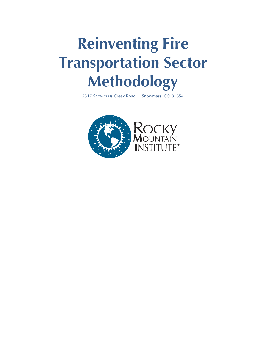# **Reinventing Fire Transportation Sector Methodology**

2317 Snowmass Creek Road | Snowmass, CO 81654

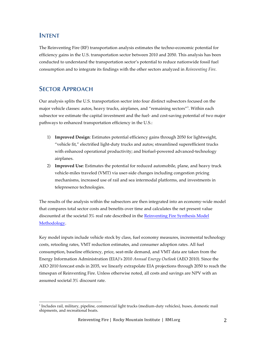## **INTENT**

The Reinventing Fire (RF) transportation analysis estimates the techno-economic potential for efficiency gains in the U.S. transportation sector between 2010 and 2050. This analysis has been conducted to understand the transportation sector's potential to reduce nationwide fossil fuel consumption and to integrate its findings with the other sectors analyzed in *Reinventing Fire*.

## **SECTOR APPROACH**

Our analysis splits the U.S. transportation sector into four distinct subsectors focused on the major vehicle classes: autos, heavy trucks, airplanes, and "remaining sectors"<sup>1</sup> . Within each subsector we estimate the capital investment and the fuel- and cost-saving potential of two major pathways to enhanced transportation efficiency in the U.S.:

- 1) **Improved Design**: Estimates potential efficiency gains through 2050 for lightweight, "vehicle fit," electrified light-duty trucks and autos; streamlined superefficient trucks with enhanced operational productivity; and biofuel-powered advanced-technology airplanes.
- 2) **Improved Use**: Estimates the potential for reduced automobile, plane, and heavy truck vehicle-miles traveled (VMT) via user-side changes including congestion pricing mechanisms, increased use of rail and sea intermodal platforms, and investments in telepresence technologies.

The results of the analysis within the subsectors are then integrated into an economy-wide model that compares total sector costs and benefits over time and calculates the net present value discounted at the societal 3% real rate described in the Reinventing Fire Synthesis Model Methodology.

Key model inputs include vehicle stock by class, fuel economy measures, incremental technology costs, retooling rates, VMT reduction estimates, and consumer adoption rates. All fuel consumption, baseline efficiency, price, seat-mile demand, and VMT data are taken from the Energy Information Administration (EIA)'s 2010 *Annual Energy Outlook* (AEO 2010). Since the AEO 2010 forecast ends in 2035, we linearly extrapolate EIA projections through 2050 to reach the timespan of Reinventing Fire. Unless otherwise noted, all costs and savings are NPV with an assumed societal 3% discount rate.

<sup>(((((((((((((((((((((((((((((((((((((((((((((((((((((((</sup>  $1$ Includes rail, military, pipeline, commercial light trucks (medium-duty vehicles), buses, domestic mail shipments, and recreational boats.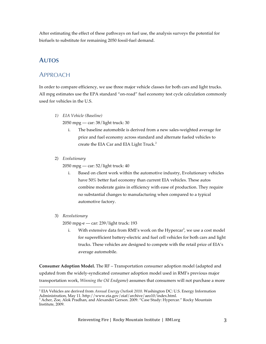After estimating the effect of these pathways on fuel use, the analysis surveys the potential for biofuels to substitute for remaining 2050 fossil-fuel demand.

## **AUTOS**

## APPROACH

In order to compare efficiency, we use three major vehicle classes for both cars and light trucks. All mpg estimates use the EPA standard "on-road" fuel economy test cycle calculation commonly used for vehicles in the U.S.

*1) EIA Vehicle (Baseline)* 

2050 mpg — car: 38/light truck: 30

- i. The baseline automobile is derived from a new sales-weighted average for price and fuel economy across standard and alternate fueled vehicles to create the EIA Car and EIA Light Truck.<sup>2</sup>
- 2) *Evolutionary*

2050 mpg — car: 52/light truck: 40

- i. Based on client work within the automotive industry, Evolutionary vehicles have 50% better fuel economy than current EIA vehicles. These autos combine moderate gains in efficiency with ease of production. They require no substantial changes to manufacturing when compared to a typical automotive factory.
- 3) *Revolutionary*

2050 mpg-e — car: 239/light truck: 193

i. With extensive data from RMI's work on the Hypercar<sup>3</sup>, we use a cost model for superefficient battery-electric and fuel cell vehicles for both cars and light trucks. These vehicles are designed to compete with the retail price of EIA's average automobile.

**Consumer Adoption Model.** The RF – Transportation consumer adoption model (adapted and updated from the widely-syndicated consumer adoption model used in RMI's previous major transportation work, *Winning the Oil Endgame*) assumes that consumers will not purchase a more

 $($ <sup>2</sup> EIA Vehicles are derived from *Annual Energy Outlook 2010*. Washington DC: U.S. Energy Information

Administration, May 11. http://www.eia.gov/oiaf/archive/aeo10/index.html.<br><sup>3</sup> Acher, Zoe, Alok Pradhan, and Alexander Gerson. 2009. "Case Study: Hypercar." Rocky Mountain Institute, 2009.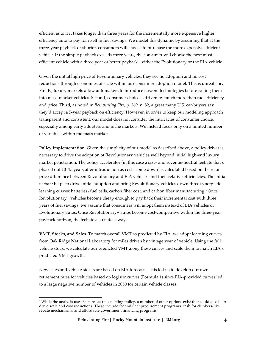efficient auto if it takes longer than three years for the incrementally more expensive higher efficiency auto to pay for itself in fuel savings. We model this dynamic by assuming that at the three-year payback or shorter, consumers will choose to purchase the more expensive efficient vehicle. If the simple payback exceeds three years, the consumer will choose the next most efficient vehicle with a three-year or better payback—either the Evolutionary or the EIA vehicle.

Given the initial high price of Revolutionary vehicles, they see no adoption and no cost reductions through economies of scale within our consumer adoption model. This is unrealistic. Firstly, luxury markets allow automakers to introduce nascent technologies before rolling them into mass-market vehicles. Second, consumer choice is driven by much more than fuel efficiency and price. Third, as noted in *Reinventing Fire*, p. 269, n. 82, a great many U.S. car-buyers say they'd accept a 5-year payback on efficiency. However, in order to keep our modeling approach transparent and consistent, our model does not consider the intricacies of consumer choice, especially among early adopters and niche markets. We instead focus only on a limited number of variables within the mass market.

**Policy Implementation.** Given the simplicity of our model as described above, a policy driver is necessary to drive the adoption of Revolutionary vehicles well beyond initial high-end luxury market penetration. The policy accelerator (in this case a size- and revenue-neutral feebate that's phased out 10–15 years after introduction as costs come down) is calculated based on the retail price difference between Revolutionary and EIA vehicles and their relative efficiencies. The initial feebate helps to drive initial adoption and bring Revolutionary vehicles down three synergistic learning curves: batteries/fuel cells, carbon fiber cost, and carbon fiber manufacturing.<sup>4</sup> Once Revolutionary+ vehicles become cheap enough to pay back their incremental cost with three years of fuel savings, we assume that consumers will adopt them instead of EIA vehicles or Evolutionary autos. Once Revolutionary+ autos become cost-competitive within the three-year payback horizon, the feebate also fades away.

**VMT, Stocks, and Sales.** To match overall VMT as predicted by EIA, we adopt learning curves from Oak Ridge National Laboratory for miles driven by vintage year of vehicle. Using the full vehicle stock, we calculate our predicted VMT along these curves and scale them to match EIA's predicted VMT growth.

New sales and vehicle stocks are based on EIA forecasts. This led us to develop our own retirement rates for vehicles based on logistic curves (Formula 1) since EIA-provided curves led to a large negative number of vehicles in 2050 for certain vehicle classes.

 $($ <sup>4</sup> While the analysis uses feebates as the enabling policy, a number of other options exist that could also help drive scale and cost reductions. These include federal fleet procurement programs, cash for clunkers-like rebate mechanisms, and affordable government financing programs.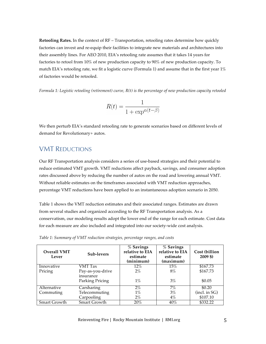**Retooling Rates.** In the context of RF – Transportation, retooling rates determine how quickly factories can invest and re-equip their facilities to integrate new materials and architectures into their assembly lines. For AEO 2010, EIA's retooling rate assumes that it takes 14 years for factories to retool from 10% of new production capacity to 90% of new production capacity. To match EIA's retooling rate, we fit a logistic curve (Formula 1) and assume that in the first year  $1\%$ of factories would be retooled.

*Formula 1: Logistic retooling (retirement) curve, R(t) is the percentage of new production capacity retooled*

$$
R(t) = \frac{1}{1 + \exp^{\alpha(t - \beta)}}
$$

We then perturb EIA's standard retooling rate to generate scenarios based on different levels of demand for Revolutionary+ autos.

## VMT REDUCTIONS

Our RF Transportation analysis considers a series of use-based strategies and their potential to reduce estimated VMT growth. VMT reductions affect payback, savings, and consumer adoption rates discussed above by reducing the number of autos on the road and lowering annual VMT. Without reliable estimates on the timeframes associated with VMT reduction approaches, percentage VMT reductions have been applied to an instantaneous adoption scenario in 2050.

Table 1 shows the VMT reduction estimates and their associated ranges. Estimates are drawn from several studies and organized according to the RF Transportation analysis. As a conservatism, our modeling results adopt the lower end of the range for each estimate. Cost data for each measure are also included and integrated into our society-wide cost analysis.

| <b>Overall VMT</b><br>Lever | Sub-levers                   | % Savings<br>relative to EIA<br>estimate<br>(minimum) | % Savings<br>relative to EIA<br>estimate<br>(maximum) | Cost (billion<br>$2009$ \$) |
|-----------------------------|------------------------------|-------------------------------------------------------|-------------------------------------------------------|-----------------------------|
| Innovative                  | VMT Tax                      | 12%                                                   | $15\%$                                                | \$167.73                    |
| Pricing                     | Pay-as-you-drive             | $2\%$                                                 | $8\%$                                                 | \$167.73                    |
|                             | insurance<br>Parking Pricing | $1\%$                                                 | 3%                                                    | \$0.05                      |
| Alternative                 | Carsharing                   | $2\%$                                                 | 7%                                                    | \$0.20                      |
| Commuting                   | Telecommuting                | $1\%$                                                 | 3%                                                    | (incl. in SG)               |
|                             | Carpooling                   | $2\%$                                                 | $4\%$                                                 | \$107.10                    |
| Smart Growth                | Smart Growth                 | 20%                                                   | $40\%$                                                | \$332.22                    |

*Table 1: Summary of VMT reduction strategies, percentage ranges, and costs*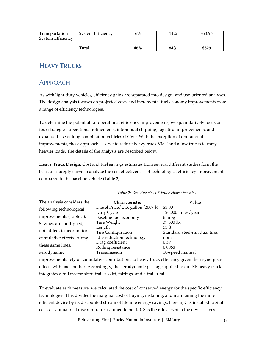| Transportation<br>System Efficiency | System Efficiency | 6%     | $14\%$ | \$53.96 |
|-------------------------------------|-------------------|--------|--------|---------|
|                                     | Total             | $46\%$ | $84\%$ | \$829   |

# **HEAVY TRUCKS**

## APPROACH

As with light-duty vehicles, efficiency gains are separated into design- and use-oriented analyses. The design analysis focuses on projected costs and incremental fuel economy improvements from a range of efficiency technologies.

To determine the potential for operational efficiency improvements, we quantitatively focus on four strategies: operational refinements, intermodal shipping, logistical improvements, and expanded use of long combination vehicles (LCVs). With the exception of operational improvements, these approaches serve to reduce heavy truck VMT and allow trucks to carry heavier loads. The details of the analysis are described below.

**Heavy Truck Design.** Cost and fuel savings estimates from several different studies form the basis of a supply curve to analyze the cost effectiveness of technological efficiency improvements compared to the baseline vehicle (Table 2).

| The analysis considers the | Characteristic                     | Value                         |
|----------------------------|------------------------------------|-------------------------------|
| following technological    | Diesel Price/U.S. gallon (2009 \$) | \$3.00                        |
|                            | Duty Cycle                         | $120,000$ miles/year          |
| improvements (Table 3).    | Baseline fuel economy              | 6 mpg                         |
| Savings are multiplied,    | Tare Weight                        | 37,500 lb.                    |
|                            | Length                             | 53 ft.                        |
| not added, to account for  | <b>Tire Configuration</b>          | Standard steel-rim dual tires |
| cumulative effects. Along  | Idle reduction technology          | none                          |
| these same lines,          | Drag coefficient                   | 0.59                          |
|                            | Rolling resistance                 | 0.0068                        |
| aerodynamic                | Transmission                       | 10-speed manual               |

*Table 2: Baseline class-8 truck characteristics*

improvements rely on cumulative contributions to heavy truck efficiency given their synergistic effects with one another. Accordingly, the aerodynamic package applied to our RF heavy truck integrates a full tractor skirt, trailer skirt, fairings, and a trailer tail.

To evaluate each measure, we calculated the cost of conserved energy for the specific efficiency technologies. This divides the marginal cost of buying, installing, and maintaining the more efficient device by its discounted stream of lifetime energy savings. Herein, C is installed capital cost, *i* is annual real discount rate (assumed to be .15), S is the rate at which the device saves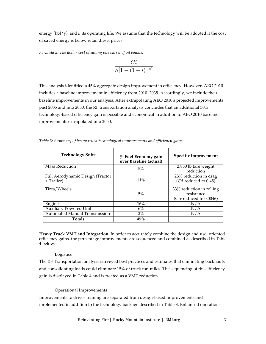energy (bbl/y), and *n* its operating life. We assume that the technology will be adopted if the cost of saved energy is below retail diesel prices.

*Formula 2: The dollar cost of saving one barrel of oil equals:*

$$
\frac{Ci}{S[1-(1+i)^{-n}]}
$$

This analysis identified a 45% aggregate design improvement in efficiency. However, AEO 2010 includes a baseline improvement in efficiency from 2010–2035. Accordingly, we include their baseline improvements in our analysis. After extrapolating AEO 2010's projected improvements past 2035 and into 2050, the RF transportation analysis concludes that an additional 30% technology-based efficiency gain is possible and economical in addition to AEO 2010 baseline improvements extrapolated into 2050.

| <b>Technology Suite</b>                        | % Fuel Economy gain<br>over Baseline (actual) | <b>Specific Improvement</b>                                       |
|------------------------------------------------|-----------------------------------------------|-------------------------------------------------------------------|
| <b>Mass Reduction</b>                          | 5%                                            | 2,850 lb tare weight<br>reduction                                 |
| Full Aerodynamic Design (Tractor<br>+ Trailer) | $11\%$                                        | 23% reduction in drag<br>(Cd reduced to $0.45$ )                  |
| Tires/Wheels                                   | 5%                                            | 33% reduction in rolling<br>resistance<br>(Crr reduced to 0.0046) |
| Engine                                         | $16\%$                                        |                                                                   |

Auxiliary Powered Unit 6% 6% N/A Automated Manual Transmission 2% N/A

**Totals 45%**

*Table 3: Summary of heavy truck technological improvements and efficiency gains*

**Heavy Truck VMT and Integration.** In order to accurately combine the design and use- oriented efficiency gains, the percentage improvements are sequenced and combined as described in Table 4 below.

#### Logistics

The RF Transportation analysis surveyed best practices and estimates that eliminating backhauls and consolidating loads could eliminate 15% of truck ton-miles. The sequencing of this efficiency gain is displayed in Table 4 and is treated as a VMT reduction.

#### Operational Improvements

Improvements to driver training are separated from design-based improvements and implemented in addition to the technology package described in Table 3. Enhanced operations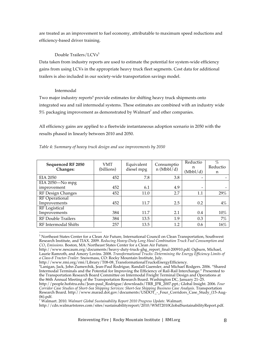are treated as an improvement to fuel economy, attributable to maximum speed reductions and efficiency-based driver training.

#### Double Trailers/LCVs<sup>5</sup>

Data taken from industry reports are used to estimate the potential for system-wide efficiency gains from using LCVs in the appropriate heavy truck fleet segments. Cost data for additional trailers is also included in our society-wide transportation savings model.

#### Intermodal

Two major industry reports<sup>6</sup> provide estimates for shifting heavy truck shipments onto integrated sea and rail intermodal systems. These estimates are combined with an industry wide  $5%$  packaging improvement as demonstrated by Walmart<sup>7</sup> and other companies.

All efficiency gains are applied to a fleetwide instantaneous adoption scenario in 2050 with the results phased in linearly between 2010 and 2050.

| Sequenced RF 2050<br>Changes: | VMT<br>(billions) | Equivalent<br>diesel mpg | Consumptio<br>$n \left( Mbbl \right)$ d) | Reductio<br>n<br>(Mbbl/d) | $\%$<br>Reductio<br>n |
|-------------------------------|-------------------|--------------------------|------------------------------------------|---------------------------|-----------------------|
| <b>EIA 2050</b>               | 452               | 7.8                      | 3.8                                      |                           |                       |
| EIA 2050-No mpg               |                   |                          |                                          |                           |                       |
| improvement                   | 452               | 6.1                      | 4.9                                      | $\overline{\phantom{0}}$  |                       |
| RF Design Changes             | 452               | 11.0                     | 2.7                                      | 1.1                       | 29%                   |
| <b>RF</b> Operational         |                   |                          |                                          |                           |                       |
| Improvements                  | 452               | 11.7                     | 2.5                                      | 0.2                       | 4%                    |
| <b>RF</b> Logistical          |                   |                          |                                          |                           |                       |
| Improvements                  | 384               | 11.7                     | 2.1                                      | 0.4                       | 10%                   |
| <b>RF Double Trailers</b>     | 384               | 13.5                     | 1.9                                      | 0.3                       | 7%                    |
| RF Intermodal Shifts          | 257               | 13.5                     | 1.2                                      | 0.6                       | 16%                   |

#### *Table 4: Summary of heavy truck design and use improvements by 2050*

<sup>(((((((((((((((((((((((((((((((((((((((((((((((((((((((</sup>  $^5$  Northeast States Center for a Clean Air Future, International Council on Clean Transportation, Southwest Research Institute, and TIAX. 2009. *Reducing Heavy-Duty Long Haul Combination Truck Fuel Consumption and CO2 Emissions.* Boston, MA: Northeast States Center for a Clean Air Future.

http://www.nescaum.org/documents/heavy-duty-truck-ghg\_report\_final-200910.pdf*;* Ogburn, Michael, Laurie Ramroth, and Amory Lovins. 2008. *Transformational Trucks: Determining the Energy Efficiency Limits of a Class-8 Tractor-Trailer.* Snowmass, CO: Rocky Mountain Institute, July.

http://www.rmi.org/rmi/Library/T08-08\_TransformationalTrucksEnergyEfficiency*.*

<sup>6</sup> Lanigan, Jack, John Zumerchik, Jean-Paul Rodrigue, Randall Guensler, and Michael Rodgers. 2006. "Shared Intermodal Terminals and the Potential for Improving the Efficiency of Rail-Rail Interchange." Presented to the Transportation Research Board Committee on Intermodal Freight Terminal Design and Operations at the 86th Annual Meeting of the Transportation Research Board. Washington DC, January 21–25.

http://people.hofstra.edu/Jean-paul\_Rodrigue/downloads/TRB\_JPR\_2007.ppt.; Global Insight. 2006. *Four Corridor Case Studies of Short-Sea Shipping Services: Short-Sea Shipping Business Case Analysis*. Transportation Research Board. http://www.marad.dot.gov/documents/USDOT - Four\_Corridors\_Case\_Study\_(15-Aug-06).pdf.

<sup>7</sup> Walmart. 2010. *Walmart Global Sustainability Report 2010 Progress Update*. Walmart.

http://cdn.walmartstores.com/sites/sustainabilityreport/2010/WMT2010GlobalSustainabilityReport.pdf.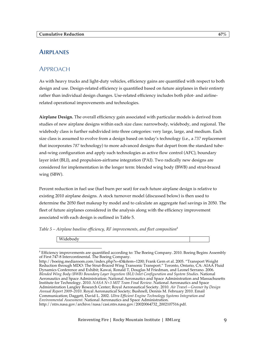## **AIRPLANES**

## APPROACH

As with heavy trucks and light-duty vehicles, efficiency gains are quantified with respect to both design and use. Design-related efficiency is quantified based on future airplanes in their entirety rather than individual design changes. Use-related efficiency includes both pilot- and airlinerelated operational improvements and technologies.

**Airplane Design.** The overall efficiency gain associated with particular models is derived from studies of new airplane designs within each size class: narrowbody, widebody, and regional. The widebody class is further subdivided into three categories: very large, large, and medium. Each size class is assumed to evolve from a design based on today's technology (i.e., a *737* replacement that incorporates *787* technology) to more advanced designs that depart from the standard tubeand-wing configuration and apply such technologies as active flow control (AFC), boundary layer inlet (BLI), and propulsion-airframe integration (PAI). Two radically new designs are considered for implementation in the longer term: blended wing body (BWB) and strut-braced wing (SBW).

Percent reduction in fuel use (fuel burn per seat) for each future airplane design is relative to existing 2010 airplane designs. A stock turnover model (discussed below) is then used to determine the 2050 fleet makeup by model and to calculate an aggregate fuel savings in 2050. The fleet of future airplanes considered in the analysis along with the efficiency improvement associated with each design is outlined in Table 5.

*Table 5 – Airplane baseline efficiency, RF improvements, and fleet composition<sup>8</sup>*

Widebody

 $($ 

<sup>&</sup>lt;sup>8</sup> Efficiency improvements are quantified according to: The Boeing Company. 2010. Boeing Begins Assembly of First 747-8 Intercontinental. The Boeing Company.

http://boeing.mediaroom.com/index.php?s=43&item=1200; Frank Gern et al. 2005. "Transport Weight Reduction through MDO: The Strut-Braced Wing Transonic Transport." Toronto, Ontario, CA: AIAA Fluid Dynamics Conference and Exhibit; Kawai, Ronald T, Douglas M Friedman, and Leonel Serrano. 2006. *Blended Wing Body (BWB) Boundary Layer Ingestion (BLI) Inlet Configuration and System Studies.* National Aeronautics and Space Administration; National Aeronautics and Space Administration and Massachusetts Institute for Technology. 2010. *NASA N+3 MIT Team Final Review*. National Aeronautics and Space Administration Langley Research Center; Royal Aeronautical Society. 2010. *Air Travel—Greener by Design Annual Report 2009–2010*. Royal Aeronautical Society; Bushnell, Dennis M. February 2010. Email Communication; Daggett, David L. 2002. *Ultra Efficient Engine Technology Systems Integration and Environmental Assessment.* National Aeronautics and Space Administration. http://ntrs.nasa.gov/archive/nasa/casi.ntrs.nasa.gov/20020064732\_2002107516.pdf.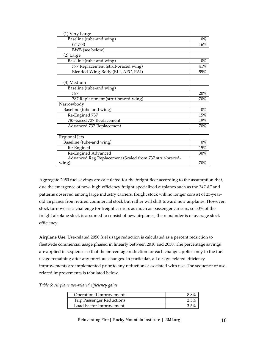| (1) Very Large                                          |        |
|---------------------------------------------------------|--------|
| Baseline (tube-and wing)                                | $0\%$  |
| $(747-8)$                                               | 16%    |
| <b>BWB</b> (see below)                                  |        |
| (2) Large                                               |        |
| Baseline (tube-and wing)                                | $0\%$  |
| 777 Replacement (strut-braced wing)                     | 41%    |
| Blended-Wing-Body (BLI, AFC, PAI)                       | 59%    |
|                                                         |        |
| (3) Medium                                              |        |
| Baseline (tube-and wing)                                |        |
| 787                                                     | 20%    |
| 787 Replacement (strut-braced-wing)                     | 70%    |
| Narrowbody                                              |        |
| Baseline (tube-and wing)                                | $0\%$  |
| Re-Engined 737                                          | 15%    |
| 787-based 737 Replacement                               | 19%    |
| Advanced 737 Replacement                                | 70%    |
|                                                         |        |
| Regional Jets                                           |        |
| Baseline (tube-and wing)                                | $0\%$  |
| Re-Engined                                              | 15%    |
| Re-Engined Advanced                                     | 30%    |
| Advanced Reg Replacement (Scaled from 737 strut-braced- |        |
| wing)                                                   | $70\%$ |

Aggregate 2050 fuel savings are calculated for the freight fleet according to the assumption that, due the emergence of new, high-efficiency freight-specialized airplanes such as the *747-8F* and patterns observed among large industry carriers*,* freight stock will no longer consist of 25-yearold airplanes from retired commercial stock but rather will shift toward new airplanes. However, stock turnover is a challenge for freight carriers as much as passenger carriers, so 50% of the freight airplane stock is assumed to consist of new airplanes; the remainder is of average stock efficiency.

**Airplane Use.** Use-related 2050 fuel usage reduction is calculated as a percent reduction to fleetwide commercial usage phased in linearly between 2010 and 2050. The percentage savings are applied in sequence so that the percentage reduction for each change applies only to the fuel usage remaining after any previous changes. In particular, all design-related efficiency improvements are implemented prior to any reductions associated with use. The sequence of userelated improvements is tabulated below.

*Table 6: Airplane use-related efficiency gains*

| Operational Improvements         |                 |
|----------------------------------|-----------------|
| <b>Trip Passenger Reductions</b> | $2.5^{o\prime}$ |
| Load Factor Improvement          | 2.50            |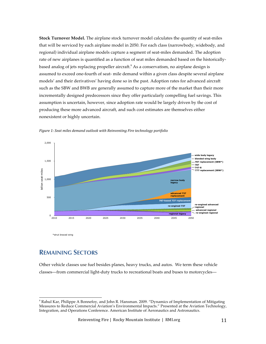**Stock Turnover Model.** The airplane stock turnover model calculates the quantity of seat-miles that will be serviced by each airplane model in 2050. For each class (narrowbody, widebody, and regional) individual airplane models capture a segment of seat-miles demanded. The adoption rate of new airplanes is quantified as a function of seat miles demanded based on the historicallybased analog of jets replacing propeller aircraft. <sup>9</sup> As a conservatism, no airplane design is assumed to exceed one-fourth of seat- mile demand within a given class despite several airplane models' and their derivatives' having done so in the past. Adoption rates for advanced aircraft such as the SBW and BWB are generally assumed to capture more of the market than their more incrementally designed predecessors since they offer particularly compelling fuel savings. This assumption is uncertain, however, since adoption rate would be largely driven by the cost of producing these more advanced aircraft, and such cost estimates are themselves either nonexistent or highly uncertain.



Figure 1: Seat miles demand outlook with Reinventing Fire technology portfolio

\*strut braced wing

## **REMAINING SECTORS**

Other vehicle classes use fuel besides planes, heavy trucks, and autos. We term these vehicle classes—from commercial light-duty trucks to recreational boats and buses to motorcycles—

 $($ <sup>9</sup> Rahul Kar, Philippe A Bonnefoy, and John R. Hansman. 2009. "Dynamics of Implementation of Mitigating Measures to Reduce Commercial Aviation's Environmental Impacts." Presented at the Aviation Technology, Integration, and Operations Conference. American Institute of Aeronautics and Astronautics.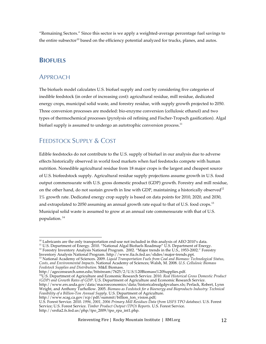"Remaining Sectors." Since this sector is we apply a weighted-average percentage fuel savings to the entire subsector<sup>10</sup> based on the efficiency potential analyzed for trucks, planes, and autos.

## **BIOFUELS**

## APPROACH

The biofuels model calculates U.S. biofuel supply and cost by considering five categories of inedible feedstock (in order of increasing cost): agricultural residue, mill residue, dedicated energy crops, municipal solid waste, and forestry residue, with supply growth projected to 2050. Three conversion processes are modeled: bio-enzyme conversion (cellulosic ethanol) and two types of thermochemical processes (pyrolysis oil refining and Fischer-Tropsch gasification). Algal biofuel supply is assumed to undergo an autotrophic conversion process. $^{\rm 11}$ 

# FEEDSTOCK SUPPLY & COST

Edible feedstocks do not contribute to the U.S. supply of biofuel in our analysis due to adverse effects historically observed in world food markets when fuel feedstocks compete with human nutrition. Nonedible agricultural residue from 18 major crops is the largest and cheapest source of U.S. biofeedstock supply. Agricultural residue supply projections assume growth in U.S. food output commensurate with U.S. gross domestic product (GDP) growth. Forestry and mill residue, on the other hand, do not sustain growth in line with GDP, maintaining a historically observed<sup>12</sup> 1% growth rate. Dedicated energy crop supply is based on data points for 2010, 2020, and 2030, and extrapolated to 2050 assuming an annual growth rate equal to that of U.S. food crops.<sup>13</sup> Municipal solid waste is assumed to grow at an annual rate commensurate with that of U.S. population. 14

http://ageconsearch.umn.edu/bitstream/7625/2/U.S.%20Biomass%20Supplies.pdf.

14U.S. Department of Agriculture and Economic Research Service. 2010. *Real Historical Gross Domestic Product (GDP) and Growth Rates of GDP*. U.S. Department of Agriculture and Economic Research Service. http://www.ers.usda.gov/data/macroeconomics/data/historicalrealgdpvalues.xls; Perlack, Robert, Lynn Wright, and Anthony Turhollow. 2005. *Biomass as Feedstock for a Bioenergy and Bioproducts Industry: Technical Feasibility of a Billion-Ton Annual Supply*. U.S. Department of Agriculture.

http://www.scag.ca.gov/rcp/pdf/summit/billion\_ton\_vision.pdf; U.S. Forest Service. 2010. *1996, 2001, 2006 Primary Mill Residues Data (from USFS TPO database)*. U.S. Forest Service; U.S. Forest Service. *Timber Product Output (TPO) Reports.* U.S. Forest Service. http://srsfia2.fs.fed.us/php/tpo\_2009/tpo\_rpa\_int1.php.

 $($  $^{10}$  Lubricants are the only transportation end-use not included in this analysis of AEO 2010's data.

 $^{11}$  U.S. Department of Energy. 2010. "National Algal Biofuels Roadmap" U.S. Department of Energy.

<sup>&</sup>lt;sup>12</sup> Forestry Inventory Analysis National Program. 2002. "Major trends in the U.S., 1953-2002." Forestry Inventory Analysis National Program. http://www.fia.fs.fed.us/slides/major-trends.ppt.

<sup>13</sup> National Academy of Sciences. 2009. *Liquid Transportation Fuels from Coal and Biomass: Technological Status, Costs, and Environmental Impacts*. National Academy of Sciences; Walsh, M. 2008. *U.S. Cellulosic Biomass Feedstock Supplies and Distribution.* M&E Biomass.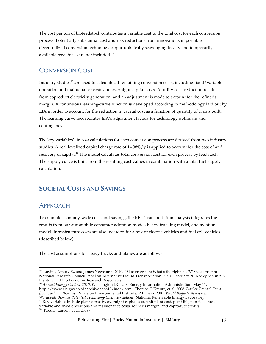The cost per ton of biofeedstock contributes a variable cost to the total cost for each conversion process. Potentially substantial cost and risk reductions from innovations in portable, decentralized conversion technology opportunistically scavenging locally and temporarily available feedstocks are not included.<sup>15</sup>

# CONVERSION COST

Industry studies<sup>16</sup> are used to calculate all remaining conversion costs, including fixed/variable operation and maintenance costs and overnight capital costs. A utility cost reduction results from coproduct electricity generation, and an adjustment is made to account for the refiner's margin. A continuous learning-curve function is developed according to methodology laid out by EIA in order to account for the reduction in capital cost as a function of quantity of plants built. The learning curve incorporates EIA's adjustment factors for technology optimism and contingency.

The key variables<sup>17</sup> in cost calculations for each conversion process are derived from two industry studies. A real levelized capital charge rate of  $14.38\% / y$  is applied to account for the cost of and recovery of capital.<sup>18</sup> The model calculates total conversion cost for each process by feedstock. The supply curve is built from the resulting cost values in combination with a total fuel supply calculation.

# **SOCIETAL COSTS AND SAVINGS**

### APPROACH

To estimate economy-wide costs and savings, the RF – Transportation analysis integrates the results from our automobile consumer adoption model, heavy trucking model, and aviation model. Infrastructure costs are also included for a mix of electric vehicles and fuel cell vehicles (described below).

The cost assumptions for heavy trucks and planes are as follows:

 $($ <sup>15</sup> Lovins, Amory B., and James Newcomb. 2010. "Bioconversion: What's the right size?," video brief to National Research Council Panel on Alternative Liquid Transportation Fuels. February 20. Rocky Mountain Institute and Bio Economic Research Associates.

<sup>16</sup> *Annual Energy Outlook 2010*. Washington DC: U.S. Energy Information Administration, May 11. http://www.eia.gov/oiaf/archive/aeo10/index.html.;Thomas G Kreutz, et al. 2008. *Fischer-Tropsch Fuels from Coal and Biomass.* Princeton Environmental Institute; R.L. Bain. 2007. *World Biofuels Assessment: Worldwide Biomass Potential Technology Characterizations.* National Renewable Energy Laboratory.

<sup>&</sup>lt;sup>17</sup> Key variables include plant capacity, overnight capital cost, unit plant cost, plant life, non-feedstock variable and fixed operations and maintenance costs, refiner's margin, and coproduct credits.

<sup>18</sup> (Kreutz, Larson, et al. 2008)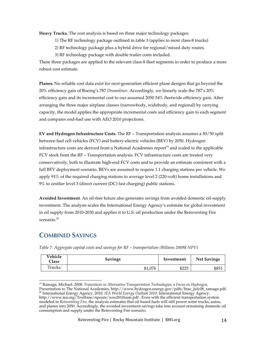**Heavy Trucks.** The cost analysis is based on three major technology packages:

- 1) The RF technology package outlined in table 3 (applies to most class-8 trucks)
- 2) RF technology package plus a hybrid drive for regional/mixed duty routes.
- 3) RF technology package with double trailer costs included.

These three packages are applied to the relevant class-8 fleet segments in order to produce a more robust cost estimate.

**Planes.** No reliable cost data exist for next-generation efficient plane designs that go beyond the 20% efficiency gain of Boeing's 787 *Dreamliner*. Accordingly, we linearly scale the 787's 20% efficiency gain and its incremental cost to our assumed 2050 54% fleetwide efficiency gain. After arranging the three major airplane classes (narrowbody, widebody, and regional) by carrying capacity, the model applies the appropriate incremental costs and efficiency gain to each segment and compares end-fuel use with AEO 2010 projections.

**EV and Hydrogen Infrastructure Costs.** The RF – Transportation analysis assumes a 50/50 split between fuel cell vehicles (FCV) and battery-electric vehicles (BEV) by 2050. Hydrogen infrastructure costs are derived from a National Academies report<sup>19</sup> and scaled to the applicable FCV stock from the RF – Transportation analysis. FCV infrastructure costs are treated very conservatively, both to illustrate high-end FCV costs and to provide an estimate consistent with a full BEV deployment scenario. BEVs are assumed to require 1.1 charging stations per vehicle. We apply 91% of the required charging stations to average level 2 (220-volt) home installations and 9% to costlier level 3 (direct current (DC) fast charging) public stations.

**Avoided Investment**. An oil-free future also generates savings from avoided domestic oil-supply investment. The analysis scales the International Energy Agency's estimate for global investment in oil supply from 2010-2030 and applies it to U.S. oil production under the Reinventing Fire scenario.<sup>20</sup>

## **COMBINED SAVINGS**

(((((((((((((((((((((((((((((((((((((((((((((((((((((((

| Vehicle<br>Class | <b>Savings</b> | Investment | <b>Net Savings</b> |  |
|------------------|----------------|------------|--------------------|--|
| Trucks           | \$1,076        | \$225      | \$851              |  |

*Table 7: Aggregate capital costs and savings for RF – transportation (Billions 2009\$ NPV)*

<sup>19</sup> Ramage, Michael. 2008. *Transitions to Alternative Transportation Technologies; a Focus on Hydrogen*, Presentation to The National Academies. http://www.hydrogen.energy.gov/pdfs/htac\_july08\_ramage.pdf. <sup>20</sup> International Energy Agency. 2010. *IEA World Energy Outlook 2010*. International Energy Agency. http://www.iea.org/Textbase/npsum/weo2010sum.pdf . Even with the efficient transportation system modeled in *Reinventing Fire*, the analysis estimates that oil-based fuels will still power some trucks, autos, and planes into 2050. Accordingly, the avoided investment savings take into account remaining domestic oil consumption and supply under the Reinventing Fire scenario.